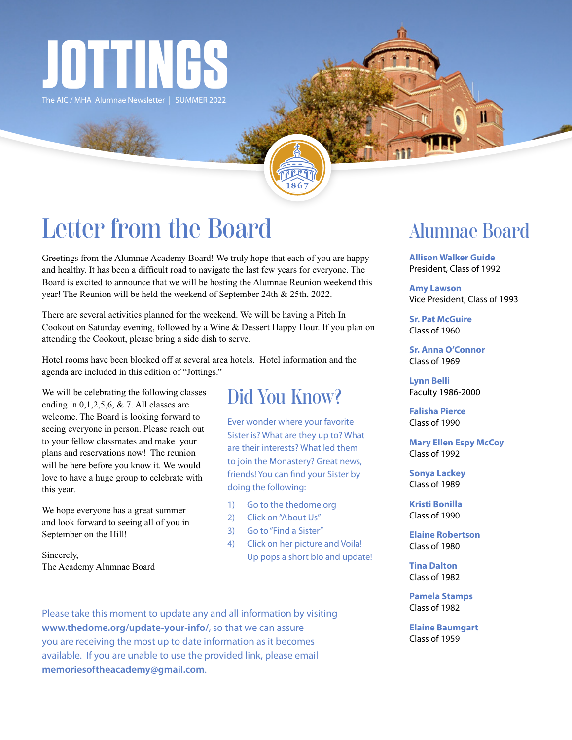

The AIC / MHA Alumnae Newsletter | SUMMER 2022

# Letter from the Board

Greetings from the Alumnae Academy Board! We truly hope that each of you are happy and healthy. It has been a difficult road to navigate the last few years for everyone. The Board is excited to announce that we will be hosting the Alumnae Reunion weekend this year! The Reunion will be held the weekend of September 24th & 25th, 2022.

There are several activities planned for the weekend. We will be having a Pitch In Cookout on Saturday evening, followed by a Wine & Dessert Happy Hour. If you plan on attending the Cookout, please bring a side dish to serve.

Hotel rooms have been blocked off at several area hotels. Hotel information and the agenda are included in this edition of "Jottings."

We will be celebrating the following classes ending in  $0,1,2,5,6$ , & 7. All classes are welcome. The Board is looking forward to seeing everyone in person. Please reach out to your fellow classmates and make your plans and reservations now! The reunion will be here before you know it. We would love to have a huge group to celebrate with this year.

We hope everyone has a great summer and look forward to seeing all of you in September on the Hill!

Sincerely, The Academy Alumnae Board

# Did You Know?

Ever wonder where your favorite Sister is? What are they up to? What are their interests? What led them to join the Monastery? Great news, friends! You can find your Sister by doing the following:

- 1) Go to the thedome.org
- 2) Click on "About Us"
- 3) Go to "Find a Sister"
- 4) Click on her picture and Voila! Up pops a short bio and update!

Please take this moment to update any and all information by visiting **www.thedome.org/update-your-info/**, so that we can assure you are receiving the most up to date information as it becomes available. If you are unable to use the provided link, please email **memoriesoftheacademy@gmail.com**.

# Alumnae Board

**Allison Walker Guide** President, Class of 1992

**Amy Lawson** Vice President, Class of 1993

**Sr. Pat McGuire** Class of 1960

**Sr. Anna O'Connor** Class of 1969

**Lynn Belli** Faculty 1986-2000

**Falisha Pierce** Class of 1990

**Mary Ellen Espy McCoy** Class of 1992

**Sonya Lackey** Class of 1989

**Kristi Bonilla** Class of 1990

**Elaine Robertson** Class of 1980

**Tina Dalton** Class of 1982

**Pamela Stamps** Class of 1982

**Elaine Baumgart** Class of 1959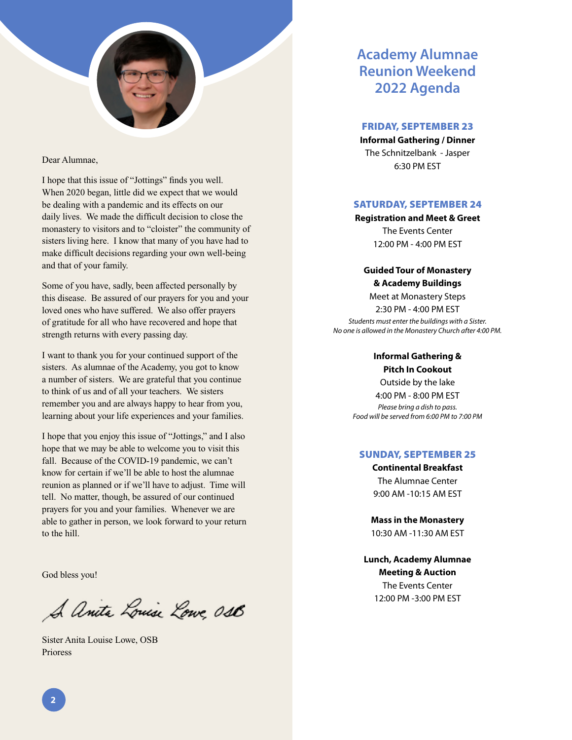

#### Dear Alumnae,

I hope that this issue of "Jottings" finds you well. When 2020 began, little did we expect that we would be dealing with a pandemic and its effects on our daily lives. We made the difficult decision to close the monastery to visitors and to "cloister" the community of sisters living here. I know that many of you have had to make difficult decisions regarding your own well-being and that of your family.

Some of you have, sadly, been affected personally by this disease. Be assured of our prayers for you and your loved ones who have suffered. We also offer prayers of gratitude for all who have recovered and hope that strength returns with every passing day.

I want to thank you for your continued support of the sisters. As alumnae of the Academy, you got to know a number of sisters. We are grateful that you continue to think of us and of all your teachers. We sisters remember you and are always happy to hear from you, learning about your life experiences and your families.

I hope that you enjoy this issue of "Jottings," and I also hope that we may be able to welcome you to visit this fall. Because of the COVID-19 pandemic, we can't know for certain if we'll be able to host the alumnae reunion as planned or if we'll have to adjust. Time will tell. No matter, though, be assured of our continued prayers for you and your families. Whenever we are able to gather in person, we look forward to your return to the hill.

God bless you!

A Anita Louise Lowe 0st

Sister Anita Louise Lowe, OSB Prioress

## **Academy Alumnae Reunion Weekend 2022 Agenda**

### FRIDAY, SEPTEMBER 23

**Informal Gathering / Dinner** The Schnitzelbank - Jasper 6:30 PM EST

### SATURDAY, SEPTEMBER 24

**Registration and Meet & Greet** The Events Center 12:00 PM - 4:00 PM EST

### **Guided Tour of Monastery & Academy Buildings**

Meet at Monastery Steps 2:30 PM - 4:00 PM EST *Students must enter the buildings with a Sister. No one is allowed in the Monastery Church after 4:00 PM.*

### **Informal Gathering & Pitch In Cookout**

Outside by the lake 4:00 PM - 8:00 PM EST *Please bring a dish to pass. Food will be served from 6:00 PM to 7:00 PM*

### SUNDAY, SEPTEMBER 25

**Continental Breakfast** The Alumnae Center 9:00 AM -10:15 AM EST

**Mass in the Monastery** 10:30 AM -11:30 AM EST

**Lunch, Academy Alumnae Meeting & Auction** The Events Center 12:00 PM -3:00 PM EST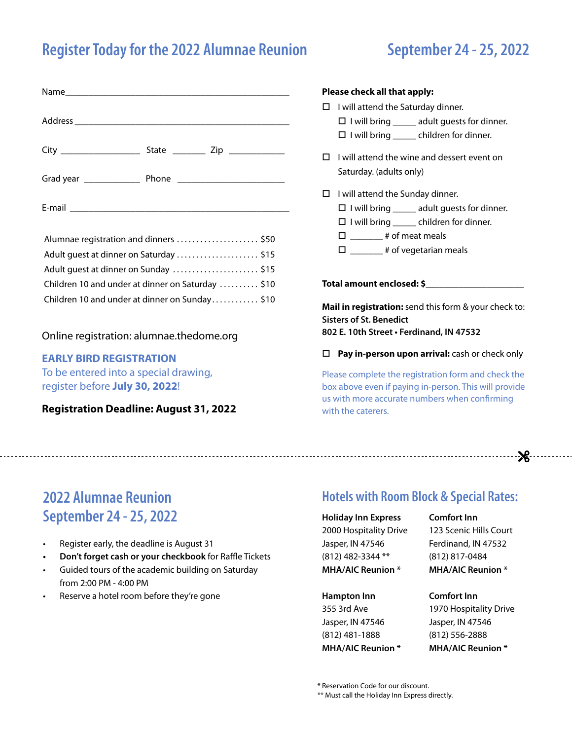# **Register Today for the 2022 Alumnae Reunion September 24 - 25, 2022**

# Name\_\_\_\_\_\_\_\_\_\_\_\_\_\_\_\_\_\_\_\_\_\_\_\_\_\_\_\_\_\_\_\_\_\_\_\_\_\_\_\_\_\_\_\_\_\_\_\_ Address **and a set of the set of the set of the set of the set of the set of the set of the set of the set of the set of the set of the set of the set of the set of the set of the set of the set of the set of the set of th** City \_\_\_\_\_\_\_\_\_\_\_\_\_\_\_\_\_ State \_\_\_\_\_\_\_ Zip \_\_\_\_\_\_\_\_\_\_\_\_ Grad year \_\_\_\_\_\_\_\_\_\_\_\_ Phone \_\_\_\_\_\_\_\_\_\_\_\_\_\_\_\_\_\_\_\_\_\_\_ E-mail  $\blacksquare$

| Alumnae registration and dinners  \$50            |  |
|---------------------------------------------------|--|
| Adult quest at dinner on Saturday  \$15           |  |
|                                                   |  |
| Children 10 and under at dinner on Saturday  \$10 |  |
| Children 10 and under at dinner on Sunday\$10     |  |

### Online registration: alumnae.thedome.org

### **EARLY BIRD REGISTRATION**

To be entered into a special drawing, register before **July 30, 2022**!

**Registration Deadline: August 31, 2022**

### **Please check all that apply:**

# $\Box$  I will attend the Saturday dinner.

 $\Box$  I will bring \_\_\_\_\_\_ adult guests for dinner.

- $\Box$  I will bring children for dinner.
- $\Box$  I will attend the wine and dessert event on Saturday. (adults only)
- $\Box$  I will attend the Sunday dinner.
	- $\Box$  I will bring \_\_\_\_\_\_ adult guests for dinner.
	- $\Box$  I will bring children for dinner.
	- $\square$  \_\_\_\_\_\_ # of meat meals
	- $\square$  \_\_\_\_\_\_\_ # of vegetarian meals

**Total amount enclosed: \$\_\_\_\_\_\_\_\_\_\_\_\_\_\_\_\_\_\_\_\_\_**

**Mail in registration:** send this form & your check to: **Sisters of St. Benedict 802 E. 10th Street • Ferdinand, IN 47532**

### **Pay in-person upon arrival:** cash or check only

Please complete the registration form and check the box above even if paying in-person. This will provide us with more accurate numbers when confirming with the caterers.

# **2022 Alumnae Reunion September 24 - 25, 2022**

- Register early, the deadline is August 31
- **• Don't forget cash or your checkbook** for Raffle Tickets
- Guided tours of the academic building on Saturday from 2:00 PM - 4:00 PM
- Reserve a hotel room before they're gone

### **Hotels with Room Block & Special Rates:**

**Holiday Inn Express** 2000 Hospitality Drive Jasper, IN 47546 (812) 482-3344 \*\* **MHA/AIC Reunion \***

**Hampton Inn** 355 3rd Ave

Jasper, IN 47546 (812) 481-1888 **MHA/AIC Reunion \*** **Comfort Inn**

123 Scenic Hills Court Ferdinand, IN 47532 (812) 817-0484 **MHA/AIC Reunion \***

**Comfort Inn**

1970 Hospitality Drive Jasper, IN 47546 (812) 556-2888 **MHA/AIC Reunion \***

\* Reservation Code for our discount.

\*\* Must call the Holiday Inn Express directly.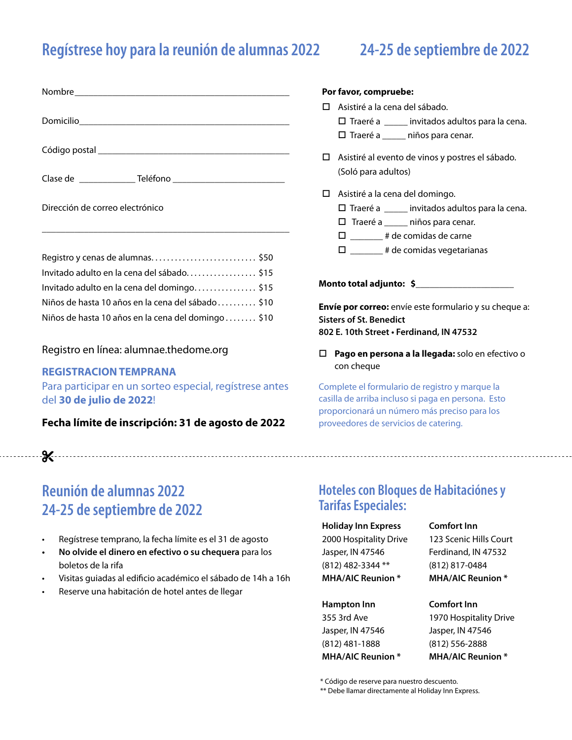# **Regístrese hoy para la reunión de alumnas 2022 24-25 de septiembre de 2022**

| Nombre________________ |  |  |
|------------------------|--|--|
| Domicilio              |  |  |
| Código postal          |  |  |

Clase de \_\_\_\_\_\_\_\_\_\_\_\_ Teléfono \_\_\_\_\_\_\_\_\_\_\_\_\_\_\_\_\_\_\_\_\_\_\_\_

Dirección de correo electrónico

| Registro y cenas de alumnas\$50                     |  |
|-----------------------------------------------------|--|
| Invitado adulto en la cena del sábado\$15           |  |
| Invitado adulto en la cena del domingo\$15          |  |
| Niños de hasta 10 años en la cena del sábado \$10   |  |
| Niños de hasta 10 años en la cena del domingo  \$10 |  |

\_\_\_\_\_\_\_\_\_\_\_\_\_\_\_\_\_\_\_\_\_\_\_\_\_\_\_\_\_\_\_\_\_\_\_\_\_\_\_\_\_\_\_\_\_\_\_\_\_\_\_\_\_

### Registro en línea: alumnae.thedome.org

### **REGISTRACION TEMPRANA**

Para participar en un sorteo especial, regístrese antes del **30 de julio de 2022**!

**Fecha límite de inscripción: 31 de agosto de 2022**

# **Reunión de alumnas 2022 24-25 de septiembre de 2022**

- Regístrese temprano, la fecha límite es el 31 de agosto
- **• No olvide el dinero en efectivo o su chequera** para los boletos de la rifa
- Visitas guiadas al edificio académico el sábado de 14h a 16h
- Reserve una habitación de hotel antes de llegar

### **Por favor, compruebe:**

- □ Asistiré a la cena del sábado.
	- $\square$  Traeré a \_\_\_\_\_ invitados adultos para la cena.
	- $\square$  Traeré a  $\square$  niños para cenar.
- □ Asistiré al evento de vinos y postres el sábado. (Soló para adultos)
- Asistiré a la cena del domingo.
	- Traeré a \_\_\_\_\_ invitados adultos para la cena.
	- $\Box$  Traeré a \_\_\_\_\_\_ niños para cenar.
	- \_\_\_\_\_\_\_ # de comidas de carne
	- $\square$  \_\_\_\_\_\_\_ # de comidas vegetarianas

**Monto total adjunto: \$\_\_\_\_\_\_\_\_\_\_\_\_\_\_\_\_\_\_\_\_\_**

**Envíe por correo:** envíe este formulario y su cheque a: **Sisters of St. Benedict 802 E. 10th Street • Ferdinand, IN 47532**

 **Pago en persona a la llegada:** solo en efectivo o con cheque

Complete el formulario de registro y marque la casilla de arriba incluso si paga en persona. Esto proporcionará un número más preciso para los proveedores de servicios de catering.

### **Hoteles con Bloques de Habitaciónes y Tarifas Especiales:**

### **Holiday Inn Express**

2000 Hospitality Drive Jasper, IN 47546 (812) 482-3344 \*\* **MHA/AIC Reunion \***

### **Hampton Inn**

355 3rd Ave Jasper, IN 47546 (812) 481-1888 **MHA/AIC Reunion \*** 123 Scenic Hills Court Ferdinand, IN 47532 (812) 817-0484 **MHA/AIC Reunion \***

### **Comfort Inn**

**Comfort Inn**

1970 Hospitality Drive Jasper, IN 47546 (812) 556-2888 **MHA/AIC Reunion \***

\* Código de reserve para nuestro descuento.

\*\* Debe llamar directamente al Holiday Inn Express.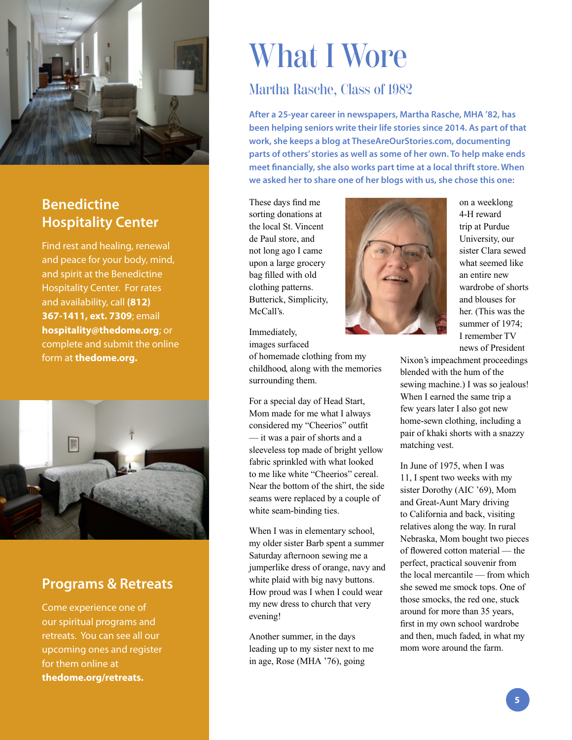

# **Benedictine Hospitality Center**

Find rest and healing, renewal and peace for your body, mind, and spirit at the Benedictine Hospitality Center. For rates and availability, call **(812) 367-1411, ext. 7309**; email **hospitality@thedome.org**; or complete and submit the online form at **thedome.org.**



## **Programs & Retreats**

Come experience one of our spiritual programs and retreats. You can see all our upcoming ones and register for them online at **thedome.org/retreats.**

# What I Wore

# Martha Rasche, Class of 1982

**After a 25-year career in newspapers, Martha Rasche, MHA '82, has been helping seniors write their life stories since 2014. As part of that work, she keeps a blog at TheseAreOurStories.com, documenting parts of others' stories as well as some of her own. To help make ends meet financially, she also works part time at a local thrift store. When we asked her to share one of her blogs with us, she chose this one:**

These days find me sorting donations at the local St. Vincent de Paul store, and not long ago I came upon a large grocery bag filled with old clothing patterns. Butterick, Simplicity, McCall's.

Immediately,

surrounding them.

images surfaced of homemade clothing from my childhood, along with the memories

For a special day of Head Start, Mom made for me what I always considered my "Cheerios" outfit — it was a pair of shorts and a sleeveless top made of bright yellow fabric sprinkled with what looked to me like white "Cheerios" cereal. Near the bottom of the shirt, the side seams were replaced by a couple of white seam-binding ties.

When I was in elementary school, my older sister Barb spent a summer Saturday afternoon sewing me a jumperlike dress of orange, navy and white plaid with big navy buttons. How proud was I when I could wear my new dress to church that very evening!

Another summer, in the days leading up to my sister next to me in age, Rose (MHA '76), going



on a weeklong 4-H reward trip at Purdue University, our sister Clara sewed what seemed like an entire new wardrobe of shorts and blouses for her. (This was the summer of 1974; I remember TV news of President

Nixon's impeachment proceedings blended with the hum of the sewing machine.) I was so jealous! When I earned the same trip a few years later I also got new home-sewn clothing, including a pair of khaki shorts with a snazzy matching vest.

In June of 1975, when I was 11, I spent two weeks with my sister Dorothy (AIC '69), Mom and Great-Aunt Mary driving to California and back, visiting relatives along the way. In rural Nebraska, Mom bought two pieces of flowered cotton material — the perfect, practical souvenir from the local mercantile — from which she sewed me smock tops. One of those smocks, the red one, stuck around for more than 35 years, first in my own school wardrobe and then, much faded, in what my mom wore around the farm.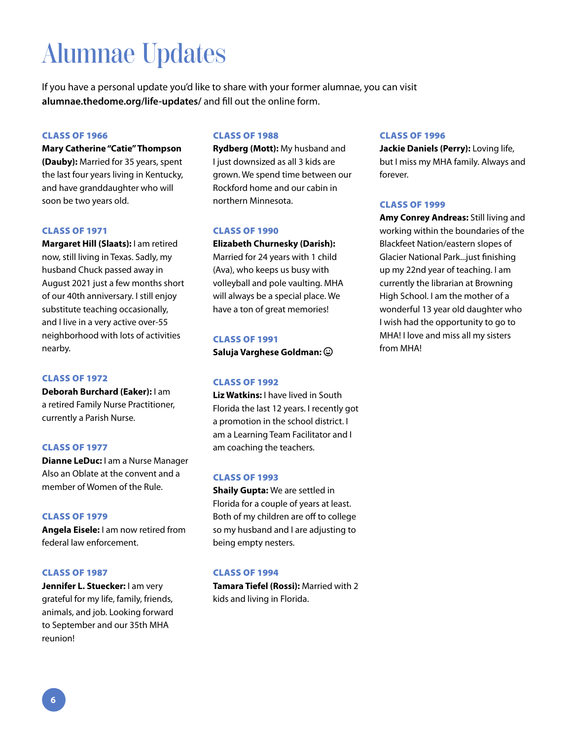# Alumnae Updates

If you have a personal update you'd like to share with your former alumnae, you can visit **alumnae.thedome.org/life-updates/** and fill out the online form.

### CLASS OF 1966

**Mary Catherine "Catie" Thompson (Dauby):** Married for 35 years, spent the last four years living in Kentucky,

and have granddaughter who will soon be two years old.

### CLASS OF 1971

**Margaret Hill (Slaats):** I am retired now, still living in Texas. Sadly, my husband Chuck passed away in August 2021 just a few months short of our 40th anniversary. I still enjoy substitute teaching occasionally, and I live in a very active over-55 neighborhood with lots of activities nearby.

### CLASS OF 1972

**Deborah Burchard (Eaker):** I am a retired Family Nurse Practitioner, currently a Parish Nurse.

### CLASS OF 1977

**Dianne LeDuc:** I am a Nurse Manager Also an Oblate at the convent and a member of Women of the Rule.

### CLASS OF 1979

**Angela Eisele:** I am now retired from federal law enforcement.

### CLASS OF 1987

**Jennifer L. Stuecker:** I am very grateful for my life, family, friends, animals, and job. Looking forward to September and our 35th MHA reunion!

### CLASS OF 1988

**Rydberg (Mott):** My husband and I just downsized as all 3 kids are grown. We spend time between our Rockford home and our cabin in northern Minnesota.

### CLASS OF 1990

**Elizabeth Churnesky (Darish):**  Married for 24 years with 1 child (Ava), who keeps us busy with volleyball and pole vaulting. MHA will always be a special place. We have a ton of great memories!

### CLASS OF 1991

**Saluja Varghese Goldman:**

### CLASS OF 1992

**Liz Watkins:** I have lived in South Florida the last 12 years. I recently got a promotion in the school district. I am a Learning Team Facilitator and I am coaching the teachers.

### CLASS OF 1993

**Shaily Gupta:** We are settled in Florida for a couple of years at least. Both of my children are off to college so my husband and I are adjusting to being empty nesters.

### CLASS OF 1994

**Tamara Tiefel (Rossi):** Married with 2 kids and living in Florida.

### CLASS OF 1996

**Jackie Daniels (Perry):** Loving life, but I miss my MHA family. Always and forever.

### CLASS OF 1999

**Amy Conrey Andreas:** Still living and working within the boundaries of the Blackfeet Nation/eastern slopes of Glacier National Park...just finishing up my 22nd year of teaching. I am currently the librarian at Browning High School. I am the mother of a wonderful 13 year old daughter who I wish had the opportunity to go to MHA! I love and miss all my sisters from MHA!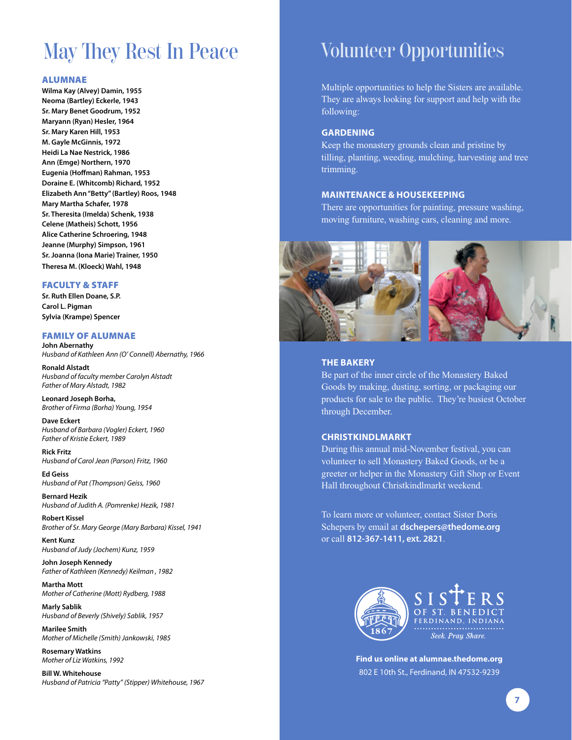# May They Rest In Peace

### ALUMNAE

**Wilma Kay (Alvey) Damin, 1955 Neoma (Bartley) Eckerle, 1943 Sr. Mary Benet Goodrum, 1952 Maryann (Ryan) Hesler, 1964 Sr. Mary Karen Hill, 1953 M. Gayle McGinnis, 1972 Heidi La Nae Nestrick, 1986 Ann (Emge) Northern, 1970 Eugenia (Hoffman) Rahman, 1953 Doraine E. (Whitcomb) Richard, 1952 Elizabeth Ann "Betty" (Bartley) Roos, 1948 Mary Martha Schafer, 1978 Sr. Theresita (Imelda) Schenk, 1938 Celene (Matheis) Schott, 1956 Alice Catherine Schroering, 1948 Jeanne (Murphy) Simpson, 1961 Sr. Joanna (Iona Marie) Trainer, 1950 Theresa M. (Kloeck) Wahl, 1948**

### FACULTY & STAFF

**Sr. Ruth Ellen Doane, S.P. Carol L. Pigman Sylvia (Krampe) Spencer**

### FAMILY OF ALUMNAE

**John Abernathy** *Husband of Kathleen Ann (O' Connell) Abernathy, 1966*

**Ronald Alstadt** *Husband of faculty member Carolyn Alstadt Father of Mary Alstadt, 1982*

**Leonard Joseph Borha,**  *Brother of Firma (Borha) Young, 1954*

**Dave Eckert** *Husband of Barbara (Vogler) Eckert, 1960 Father of Kristie Eckert, 1989*

**Rick Fritz** *Husband of Carol Jean (Parson) Fritz, 1960*

**Ed Geiss** *Husband of Pat (Thompson) Geiss, 1960*

**Bernard Hezik** *Husband of Judith A. (Pomrenke) Hezik, 1981*

**Robert Kissel** *Brother of Sr. Mary George (Mary Barbara) Kissel, 1941*

**Kent Kunz**  *Husband of Judy (Jochem) Kunz, 1959*

**John Joseph Kennedy**  *Father of Kathleen (Kennedy) Keilman , 1982*

**Martha Mott** *Mother of Catherine (Mott) Rydberg, 1988*

**Marly Sablik**  *Husband of Beverly (Shively) Sablik, 1957*

**Marilee Smith** *Mother of Michelle (Smith) Jankowski, 1985*

**Rosemary Watkins** *Mother of Liz Watkins, 1992*

**Bill W. Whitehouse** *Husband of Patricia "Patty" (Stipper) Whitehouse, 1967*

# Volunteer Opportunities

Multiple opportunities to help the Sisters are available. They are always looking for support and help with the following:

### **GARDENING**

Keep the monastery grounds clean and pristine by tilling, planting, weeding, mulching, harvesting and tree trimming.

### **MAINTENANCE & HOUSEKEEPING**

There are opportunities for painting, pressure washing, moving furniture, washing cars, cleaning and more.



### **THE BAKERY**

Be part of the inner circle of the Monastery Baked Goods by making, dusting, sorting, or packaging our products for sale to the public. They're busiest October through December.

### **CHRISTKINDLMARKT**

During this annual mid-November festival, you can volunteer to sell Monastery Baked Goods, or be a greeter or helper in the Monastery Gift Shop or Event Hall throughout Christkindlmarkt weekend.

To learn more or volunteer, contact Sister Doris Schepers by email at **dschepers@thedome.org** or call **812-367-1411, ext. 2821**.



**Find us online at alumnae.thedome.org** 802 E 10th St., Ferdinand, IN 47532-9239